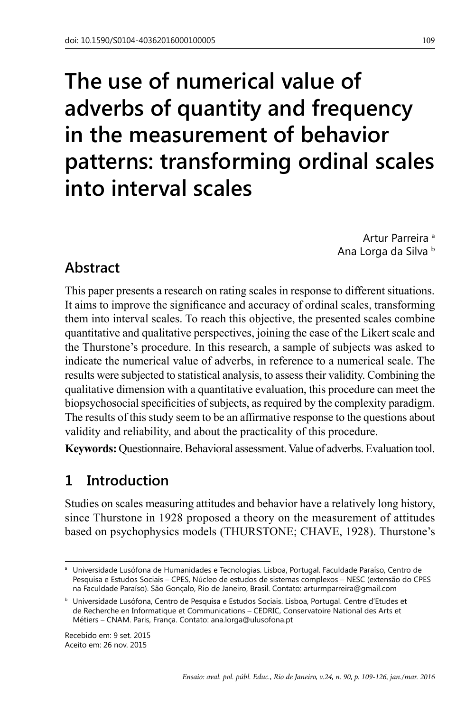# **The use of numerical value of adverbs of quantity and frequency in the measurement of behavior patterns: transforming ordinal scales into interval scales**

Artur Parreira<sup>a</sup> Ana Lorga da Silva b

# **Abstract**

This paper presents a research on rating scales in response to different situations. It aims to improve the significance and accuracy of ordinal scales, transforming them into interval scales. To reach this objective, the presented scales combine quantitative and qualitative perspectives, joining the ease of the Likert scale and the Thurstone's procedure. In this research, a sample of subjects was asked to indicate the numerical value of adverbs, in reference to a numerical scale. The results were subjected to statistical analysis, to assess their validity. Combining the qualitative dimension with a quantitative evaluation, this procedure can meet the biopsychosocial specificities of subjects, as required by the complexity paradigm. The results of this study seem to be an affirmative response to the questions about validity and reliability, and about the practicality of this procedure.

**Keywords:** Questionnaire. Behavioral assessment. Value of adverbs. Evaluation tool.

# **1 Introduction**

Studies on scales measuring attitudes and behavior have a relatively long history, since Thurstone in 1928 proposed a theory on the measurement of attitudes based on psychophysics models (THURSTONE; CHAVE, 1928). Thurstone's

Recebido em: 9 set. 2015 Aceito em: 26 nov. 2015

<sup>a</sup> Universidade Lusófona de Humanidades e Tecnologias. Lisboa, Portugal. Faculdade Paraíso, Centro de Pesquisa e Estudos Sociais – CPES, Núcleo de estudos de sistemas complexos – NESC (extensão do CPES na Faculdade Paraíso). São Gonçalo, Rio de Janeiro, Brasil. Contato: arturmparreira@gmail.com

<sup>b</sup> Universidade Lusófona, Centro de Pesquisa e Estudos Sociais. Lisboa, Portugal. Centre d'Etudes et de Recherche en Informatique et Communications – CEDRIC, Conservatoire National des Arts et Métiers – CNAM. Paris, França. Contato: [ana.lorga@ulusofona.pt](mailto:ana.lorga@ulusofona.pt)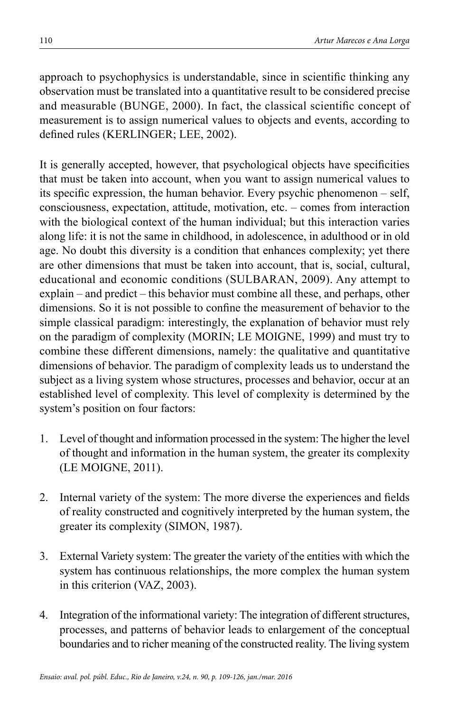approach to psychophysics is understandable, since in scientific thinking any observation must be translated into a quantitative result to be considered precise and measurable (BUNGE, 2000). In fact, the classical scientific concept of measurement is to assign numerical values to objects and events, according to defined rules (KERLINGER: LEE, 2002).

It is generally accepted, however, that psychological objects have specificities that must be taken into account, when you want to assign numerical values to its specific expression, the human behavior. Every psychic phenomenon – self, consciousness, expectation, attitude, motivation, etc. – comes from interaction with the biological context of the human individual; but this interaction varies along life: it is not the same in childhood, in adolescence, in adulthood or in old age. No doubt this diversity is a condition that enhances complexity; yet there are other dimensions that must be taken into account, that is, social, cultural, educational and economic conditions (SULBARAN, 2009). Any attempt to explain – and predict – this behavior must combine all these, and perhaps, other dimensions. So it is not possible to confine the measurement of behavior to the simple classical paradigm: interestingly, the explanation of behavior must rely on the paradigm of complexity (MORIN; LE MOIGNE, 1999) and must try to combine these different dimensions, namely: the qualitative and quantitative dimensions of behavior. The paradigm of complexity leads us to understand the subject as a living system whose structures, processes and behavior, occur at an established level of complexity. This level of complexity is determined by the system's position on four factors:

- 1. Level of thought and information processed in the system: The higher the level of thought and information in the human system, the greater its complexity (LE MOIGNE, 2011).
- 2. Internal variety of the system: The more diverse the experiences and fields of reality constructed and cognitively interpreted by the human system, the greater its complexity (Simon, 1987).
- 3. External Variety system: The greater the variety of the entities with which the system has continuous relationships, the more complex the human system in this criterion (VAZ, 2003).
- 4. Integration of the informational variety: The integration of different structures, processes, and patterns of behavior leads to enlargement of the conceptual boundaries and to richer meaning of the constructed reality. The living system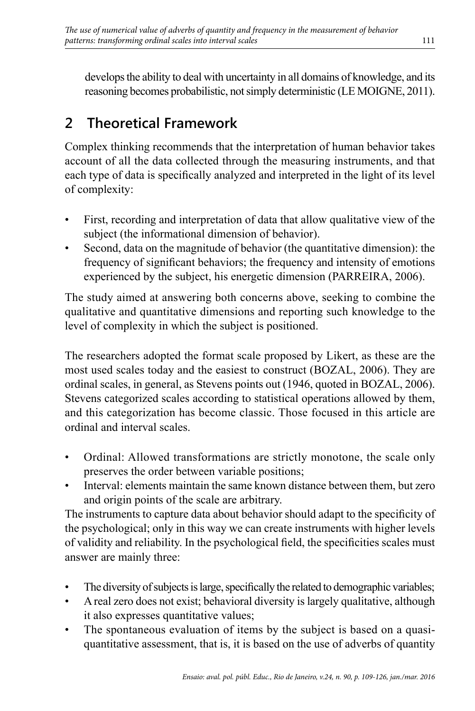develops the ability to deal with uncertainty in all domains of knowledge, and its reasoning becomes probabilistic, not simply deterministic (LE MOIGNE, 2011).

# **2 Theoretical Framework**

Complex thinking recommends that the interpretation of human behavior takes account of all the data collected through the measuring instruments, and that each type of data is specifically analyzed and interpreted in the light of its level of complexity:

- First, recording and interpretation of data that allow qualitative view of the subject (the informational dimension of behavior).
- Second, data on the magnitude of behavior (the quantitative dimension): the frequency of significant behaviors; the frequency and intensity of emotions experienced by the subject, his energetic dimension (PARREIRA, 2006).

The study aimed at answering both concerns above, seeking to combine the qualitative and quantitative dimensions and reporting such knowledge to the level of complexity in which the subject is positioned.

The researchers adopted the format scale proposed by Likert, as these are the most used scales today and the easiest to construct (BOZAL, 2006). They are ordinal scales, in general, as Stevens points out (1946, quoted in BOZAL, 2006). Stevens categorized scales according to statistical operations allowed by them, and this categorization has become classic. Those focused in this article are ordinal and interval scales.

- Ordinal: Allowed transformations are strictly monotone, the scale only preserves the order between variable positions;
- Interval: elements maintain the same known distance between them, but zero and origin points of the scale are arbitrary.

The instruments to capture data about behavior should adapt to the specificity of the psychological; only in this way we can create instruments with higher levels of validity and reliability. In the psychological field, the specificities scales must answer are mainly three:

- The diversity of subjects is large, specifically the related to demographic variables;
- A real zero does not exist; behavioral diversity is largely qualitative, although it also expresses quantitative values;
- The spontaneous evaluation of items by the subject is based on a quasiquantitative assessment, that is, it is based on the use of adverbs of quantity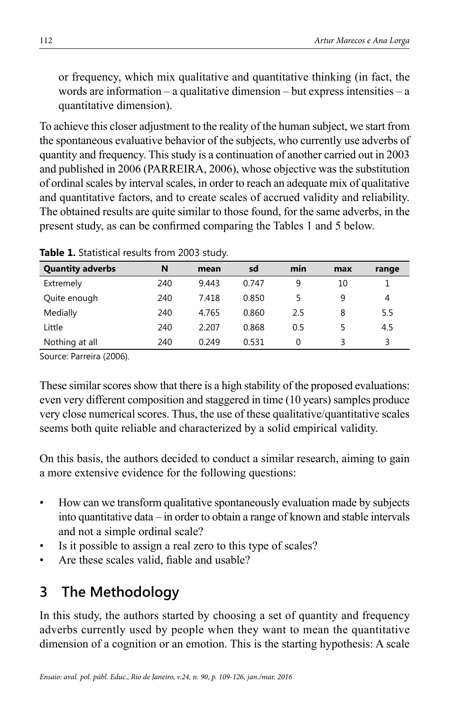or frequency, which mix qualitative and quantitative thinking (in fact, the words are information – a qualitative dimension – but express intensities – a quantitative dimension).

To achieve this closer adjustment to the reality of the human subject, we start from the spontaneous evaluative behavior of the subjects, who currently use adverbs of quantity and frequency. This study is a continuation of another carried out in 2003 and published in 2006 (PARREIRA, 2006), whose objective was the substitution of ordinal scales by interval scales, in order to reach an adequate mix of qualitative and quantitative factors, and to create scales of accrued validity and reliability. The obtained results are quite similar to those found, for the same adverbs, in the present study, as can be confirmed comparing the Tables 1 and 5 below.

| <b>Quantity adverbs</b> | N   | mean  | sd    | min | max | range |
|-------------------------|-----|-------|-------|-----|-----|-------|
| Extremely               | 240 | 9.443 | 0.747 | 9   | 10  |       |
| Quite enough            | 240 | 7.418 | 0.850 |     |     | 4     |
| Medially                | 240 | 4.765 | 0.860 | 2.5 | 8   | 5.5   |
| Little                  | 240 | 2.207 | 0.868 | 0.5 |     | 4.5   |
| Nothing at all          | 240 | 0.249 | 0.531 | 0   |     | 3     |

**Table 1.** Statistical results from 2003 study.

Source: Parreira (2006).

These similar scores show that there is a high stability of the proposed evaluations: even very different composition and staggered in time (10 years) samples produce very close numerical scores. Thus, the use of these qualitative/quantitative scales seems both quite reliable and characterized by a solid empirical validity.

On this basis, the authors decided to conduct a similar research, aiming to gain a more extensive evidence for the following questions:

- How can we transform qualitative spontaneously evaluation made by subjects into quantitative data – in order to obtain a range of known and stable intervals and not a simple ordinal scale?
- Is it possible to assign a real zero to this type of scales?
- Are these scales valid, fiable and usable?

# **3 The Methodology**

In this study, the authors started by choosing a set of quantity and frequency adverbs currently used by people when they want to mean the quantitative dimension of a cognition or an emotion. This is the starting hypothesis: A scale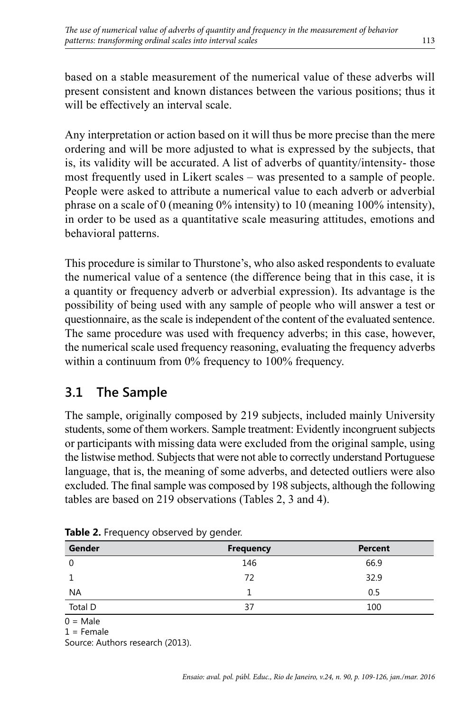based on a stable measurement of the numerical value of these adverbs will present consistent and known distances between the various positions; thus it will be effectively an interval scale.

Any interpretation or action based on it will thus be more precise than the mere ordering and will be more adjusted to what is expressed by the subjects, that is, its validity will be accurated. A list of adverbs of quantity/intensity- those most frequently used in Likert scales – was presented to a sample of people. People were asked to attribute a numerical value to each adverb or adverbial phrase on a scale of 0 (meaning  $0\%$  intensity) to 10 (meaning 100% intensity), in order to be used as a quantitative scale measuring attitudes, emotions and behavioral patterns.

This procedure is similar to Thurstone's, who also asked respondents to evaluate the numerical value of a sentence (the difference being that in this case, it is a quantity or frequency adverb or adverbial expression). Its advantage is the possibility of being used with any sample of people who will answer a test or questionnaire, as the scale is independent of the content of the evaluated sentence. The same procedure was used with frequency adverbs; in this case, however, the numerical scale used frequency reasoning, evaluating the frequency adverbs within a continuum from 0% frequency to 100% frequency.

# **3.1 The Sample**

The sample, originally composed by 219 subjects, included mainly University students, some of them workers. Sample treatment: Evidently incongruent subjects or participants with missing data were excluded from the original sample, using the listwise method. Subjects that were not able to correctly understand Portuguese language, that is, the meaning of some adverbs, and detected outliers were also excluded. The final sample was composed by 198 subjects, although the following tables are based on 219 observations (Tables 2, 3 and 4).

| Gender   | <b>Frequency</b> | <b>Percent</b> |
|----------|------------------|----------------|
| $\Omega$ | 146              | 66.9           |
|          | 72               | 32.9           |
| NA       |                  | 0.5            |
| Total D  | 37               | 100            |

Table 2. Frequency observed by gender.

 $0 = Male$  $1$  = Female

Source: Authors research (2013).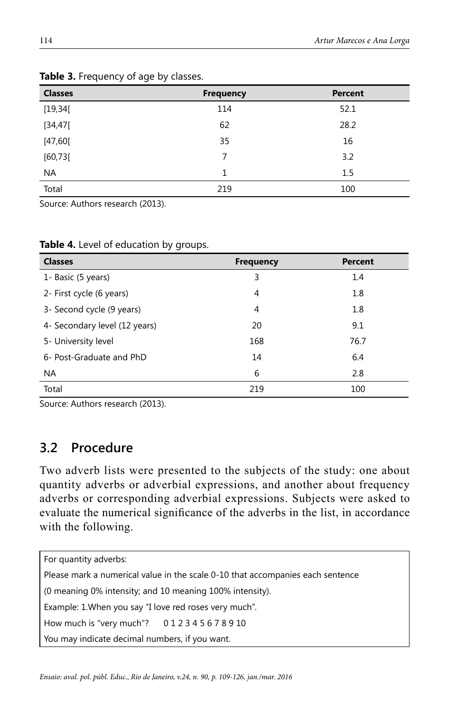| <b>Classes</b> | <b>Frequency</b> | <b>Percent</b> |
|----------------|------------------|----------------|
| [19, 34[       | 114              | 52.1           |
| [34, 47[       | 62               | 28.2           |
| [47, 60[       | 35               | 16             |
| [60, 73]       | 7                | 3.2            |
| <b>NA</b>      | 1                | 1.5            |
| Total          | 219              | 100            |

#### **Table 3.** Frequency of age by classes.

Source: Authors research (2013).

| <b>Classes</b>                | <b>Frequency</b> | <b>Percent</b> |
|-------------------------------|------------------|----------------|
| 1- Basic (5 years)            | 3                | 1.4            |
| 2- First cycle (6 years)      | 4                | 1.8            |
| 3- Second cycle (9 years)     | 4                | 1.8            |
| 4- Secondary level (12 years) | 20               | 9.1            |
| 5- University level           | 168              | 76.7           |
| 6- Post-Graduate and PhD      | 14               | 6.4            |
| NA.                           | 6                | 2.8            |
| Total                         | 219              | 100            |

**Table 4.** Level of education by groups.

Source: Authors research (2013).

### **3.2 Procedure**

Two adverb lists were presented to the subjects of the study: one about quantity adverbs or adverbial expressions, and another about frequency adverbs or corresponding adverbial expressions. Subjects were asked to evaluate the numerical significance of the adverbs in the list, in accordance with the following.

| For quantity adverbs:                                                          |  |  |  |  |  |
|--------------------------------------------------------------------------------|--|--|--|--|--|
| Please mark a numerical value in the scale 0-10 that accompanies each sentence |  |  |  |  |  |
| (0 meaning 0% intensity; and 10 meaning 100% intensity).                       |  |  |  |  |  |
| Example: 1. When you say "I love red roses very much".                         |  |  |  |  |  |
| How much is "very much"? 012345678910                                          |  |  |  |  |  |
| You may indicate decimal numbers, if you want.                                 |  |  |  |  |  |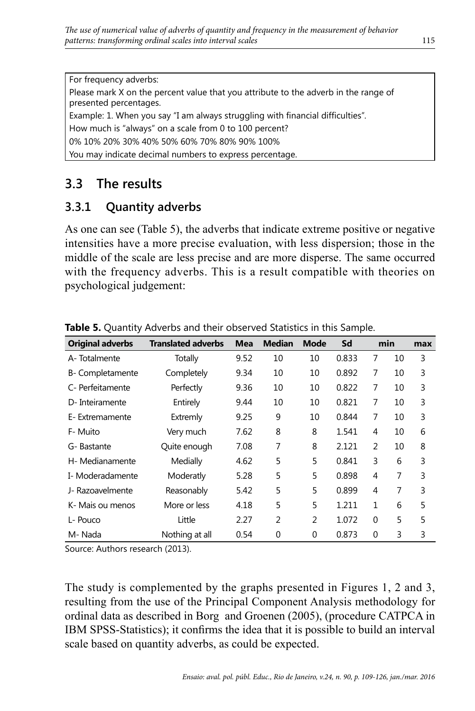For frequency adverbs:

Please mark X on the percent value that you attribute to the adverb in the range of presented percentages.

Example: 1. When you say "I am always struggling with financial difficulties".

How much is "always" on a scale from 0 to 100 percent?

0% 10% 20% 30% 40% 50% 60% 70% 80% 90% 100%

You may indicate decimal numbers to express percentage.

# **3.3 The results**

### **3.3.1 Quantity adverbs**

As one can see (Table 5), the adverbs that indicate extreme positive or negative intensities have a more precise evaluation, with less dispersion; those in the middle of the scale are less precise and are more disperse. The same occurred with the frequency adverbs. This is a result compatible with theories on psychological judgement:

| <b>Original adverbs</b> | <b>Translated adverbs</b> | Mea  | <b>Median</b>  | <b>Mode</b> | Sd    |          | min | max |
|-------------------------|---------------------------|------|----------------|-------------|-------|----------|-----|-----|
| A-Totalmente            | Totally                   | 9.52 | 10             | 10          | 0.833 | 7        | 10  | 3   |
| B- Completamente        | Completely                | 9.34 | 10             | 10          | 0.892 | 7        | 10  | 3   |
| C- Perfeitamente        | Perfectly                 | 9.36 | 10             | 10          | 0.822 | 7        | 10  | 3   |
| D- Inteiramente         | Entirely                  | 9.44 | 10             | 10          | 0.821 | 7        | 10  | 3   |
| E-Extremamente          | Extremly                  | 9.25 | 9              | 10          | 0.844 | 7        | 10  | 3   |
| F- Muito                | Very much                 | 7.62 | 8              | 8           | 1.541 | 4        | 10  | 6   |
| G- Bastante             | Quite enough              | 7.08 | 7              | 8           | 2.121 | 2        | 10  | 8   |
| H- Medianamente         | Medially                  | 4.62 | 5              | 5           | 0.841 | 3        | 6   | 3   |
| I- Moderadamente        | Moderatly                 | 5.28 | 5              | 5           | 0.898 | 4        | 7   | 3   |
| J- Razoavelmente        | Reasonably                | 5.42 | 5              | 5           | 0.899 | 4        | 7   | 3   |
| K- Mais ou menos        | More or less              | 4.18 | 5              | 5           | 1.211 | 1        | 6   | 5   |
| L- Pouco                | Little                    | 2.27 | $\overline{2}$ | 2           | 1.072 | $\Omega$ | 5   | 5   |
| M-Nada                  | Nothing at all            | 0.54 | $\Omega$       | $\Omega$    | 0.873 | $\Omega$ | 3   | 3   |

**Table 5.** Quantity Adverbs and their observed Statistics in this Sample.

Source: Authors research (2013).

The study is complemented by the graphs presented in Figures 1, 2 and 3, resulting from the use of the Principal Component Analysis methodology for ordinal data as described in Borg and Groenen (2005), (procedure CATPCA in IBM SPSS-Statistics); it confirms the idea that it is possible to build an interval scale based on quantity adverbs, as could be expected.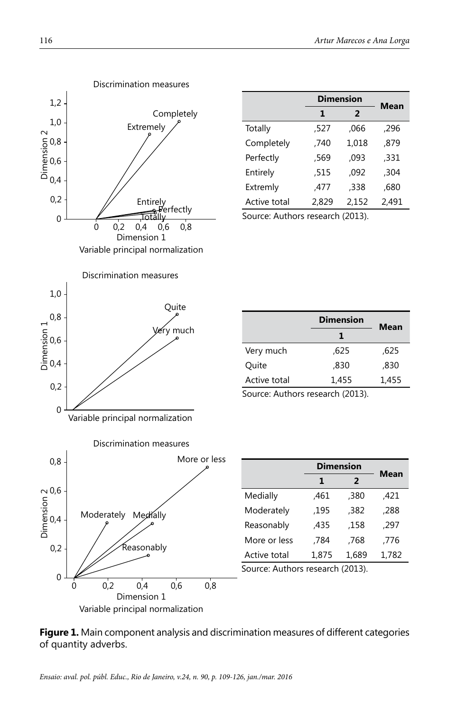

|              | <b>Dimension</b>    | Mean  |       |  |
|--------------|---------------------|-------|-------|--|
|              | $\overline{2}$<br>1 |       |       |  |
| Totally      | 527,                | ,066  | ,296  |  |
| Completely   | .740                | 1.018 | .879  |  |
| Perfectly    | ,569                | ,093  | ,331  |  |
| Entirely     | ,515                | .092  | .304  |  |
| Extremly     | .477                | ,338  | ,680  |  |
| Active total | 2,829               | 2.152 | 2.491 |  |

Source: Authors research (2013).

|              | <b>Dimension</b> | Mean  |
|--------------|------------------|-------|
|              | 1                |       |
| Very much    | .625             | ,625  |
| Ouite        | .830             | .830  |
| Active total | 1.455            | 1.455 |

Source: Authors research (2013).



|              |       | <b>Dimension</b> |       |  |  |  |
|--------------|-------|------------------|-------|--|--|--|
|              | 1     | $\overline{2}$   | Mean  |  |  |  |
| Medially     | .461  | .380             | .421  |  |  |  |
| Moderately   | .195  | .382             | .288  |  |  |  |
| Reasonably   | .435  | .158             | .297  |  |  |  |
| More or less | .784  | .768             | .776  |  |  |  |
| Active total | 1,875 | 1,689            | 1,782 |  |  |  |

Source: Authors research (2013).

**Figure 1.** Main component analysis and discrimination measures of different categories of quantity adverbs.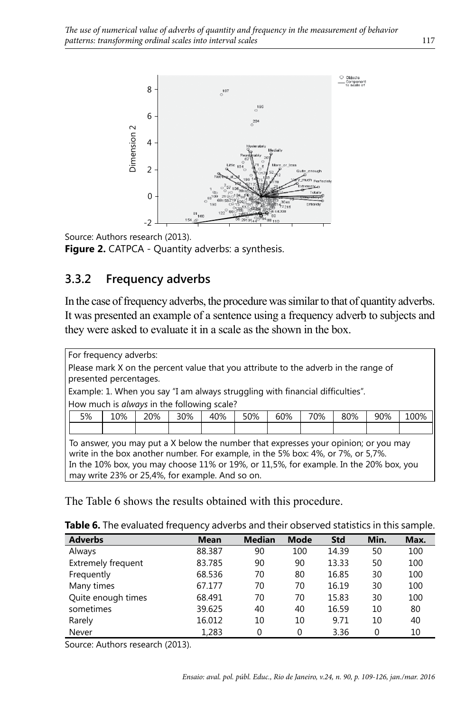



Figure 2. CATPCA - Quantity adverbs: a synthesis.

### **3.3.2 Frequency adverbs**

In the case of frequency adverbs, the procedure was similar to that of quantity adverbs. It was presented an example of a sentence using a frequency adverb to subjects and they were asked to evaluate it in a scale as the shown in the box.

For frequency adverbs: Please mark X on the percent value that you attribute to the adverb in the range of presented percentages. Example: 1. When you say "I am always struggling with financial difficulties". How much is *always* in the following scale? 5% 10% 20% 30% 40% 50% 60% 70% 80% 90% 100% To answer, you may put a X below the number that expresses your opinion; or you may write in the box another number. For example, in the 5% box: 4%, or 7%, or 5,7%. In the 10% box, you may choose 11% or 19%, or 11,5%, for example. In the 20% box, you may write 23% or 25,4%, for example. And so on. The Table 6 shows the results obtained with this procedure.<br>
The Table 6 shows the results obtained with this procedure.<br>
The Table 6 shows the results obtained with this procedure.<br>
The Table 6 shows the results of the r

| Table 6. The evaluated frequency adverbs and their observed statistics in this sample. |
|----------------------------------------------------------------------------------------|
|----------------------------------------------------------------------------------------|

| <b>Adverbs</b>            | <b>Mean</b> | <b>Median</b> | <b>Mode</b> | <b>Std</b> | Min.     | Max. |
|---------------------------|-------------|---------------|-------------|------------|----------|------|
| Always                    | 88.387      | 90            | 100         | 14.39      | 50       | 100  |
| <b>Extremely frequent</b> | 83.785      | 90            | 90          | 13.33      | 50       | 100  |
| Frequently                | 68.536      | 70            | 80          | 16.85      | 30       | 100  |
| Many times                | 67.177      | 70            | 70          | 16.19      | 30       | 100  |
| Quite enough times        | 68.491      | 70            | 70          | 15.83      | 30       | 100  |
| sometimes                 | 39.625      | 40            | 40          | 16.59      | 10       | 80   |
| Rarely                    | 16.012      | 10            | 10          | 9.71       | 10       | 40   |
| Never                     | 1,283       | ∩             | ∩           | 3.36       | $\Omega$ | 10   |

Source: Authors research (2013).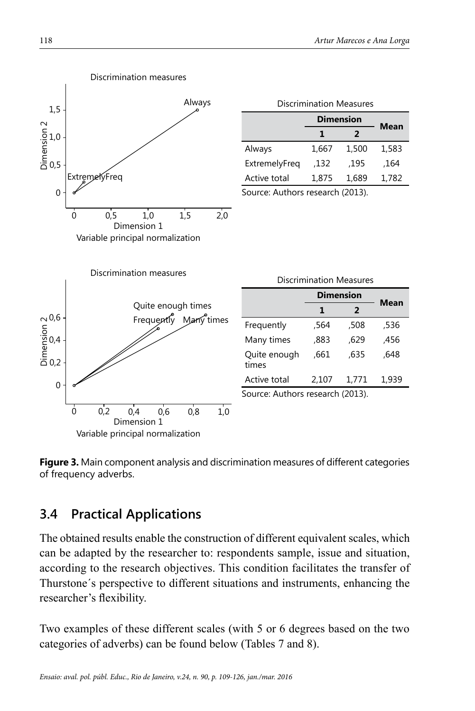**Mean**

**Mean**



**Figure 3.** Main component analysis and discrimination measures of different categories of frequency adverbs.

# **3.4 Practical Applications**

The obtained results enable the construction of different equivalent scales, which can be adapted by the researcher to: respondents sample, issue and situation, according to the research objectives. This condition facilitates the transfer of Thurstone´s perspective to different situations and instruments, enhancing the researcher's flexibility.

Two examples of these different scales (with 5 or 6 degrees based on the two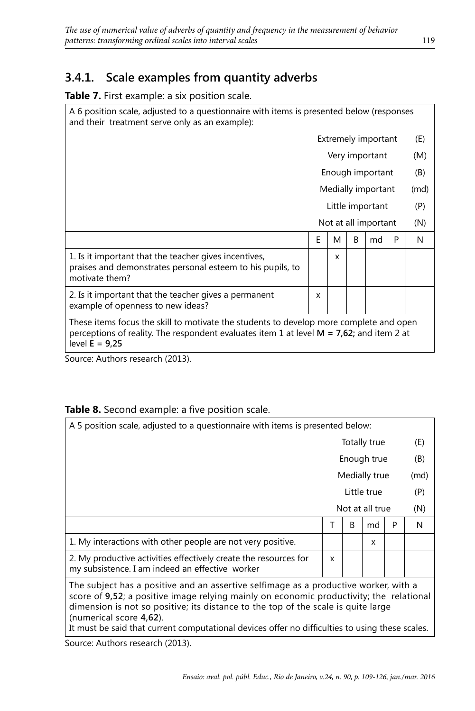### **3.4.1. Scale examples from quantity adverbs**

#### **Table 7.** First example: a six position scale.

A 6 position scale, adjusted to a questionnaire with items is presented below (responses and their treatment serve only as an example):

|                                                                                                                                                                                                           | Extremely important  |   |   | (E)              |     |     |
|-----------------------------------------------------------------------------------------------------------------------------------------------------------------------------------------------------------|----------------------|---|---|------------------|-----|-----|
|                                                                                                                                                                                                           | Very important       |   |   | (M)              |     |     |
|                                                                                                                                                                                                           |                      |   |   | Enough important |     | (B) |
|                                                                                                                                                                                                           | Medially important   |   |   | (md)             |     |     |
|                                                                                                                                                                                                           | Little important     |   |   |                  | (P) |     |
|                                                                                                                                                                                                           | Not at all important |   |   | (N)              |     |     |
|                                                                                                                                                                                                           | F                    | M | B | md               | P   | N   |
| 1. Is it important that the teacher gives incentives,<br>praises and demonstrates personal esteem to his pupils, to<br>motivate them?                                                                     |                      | x |   |                  |     |     |
| 2. Is it important that the teacher gives a permanent<br>example of openness to new ideas?                                                                                                                | x                    |   |   |                  |     |     |
| These items focus the skill to motivate the students to develop more complete and open<br>perceptions of reality. The respondent evaluates item 1 at level $M = 7.62$ ; and item 2 at<br>level $E = 9.25$ |                      |   |   |                  |     |     |

Source: Authors research (2013).

#### **Table 8.** Second example: a five position scale.

| A 5 position scale, adjusted to a questionnaire with items is presented below:                                                                                                                                                                                                                                                                                                                     |               |   |                 |      |     |  |
|----------------------------------------------------------------------------------------------------------------------------------------------------------------------------------------------------------------------------------------------------------------------------------------------------------------------------------------------------------------------------------------------------|---------------|---|-----------------|------|-----|--|
|                                                                                                                                                                                                                                                                                                                                                                                                    |               |   | Totally true    |      | (E) |  |
|                                                                                                                                                                                                                                                                                                                                                                                                    |               |   | Enough true     |      | (B) |  |
|                                                                                                                                                                                                                                                                                                                                                                                                    | Medially true |   |                 | (md) |     |  |
|                                                                                                                                                                                                                                                                                                                                                                                                    | Little true   |   |                 | (P)  |     |  |
|                                                                                                                                                                                                                                                                                                                                                                                                    |               |   | Not at all true |      | (N) |  |
|                                                                                                                                                                                                                                                                                                                                                                                                    | т             | B | md              | P    | N   |  |
| 1. My interactions with other people are not very positive.<br>X                                                                                                                                                                                                                                                                                                                                   |               |   |                 |      |     |  |
| 2. My productive activities effectively create the resources for<br>my subsistence. I am indeed an effective worker                                                                                                                                                                                                                                                                                | X             |   |                 |      |     |  |
| The subject has a positive and an assertive selfimage as a productive worker, with a<br>score of 9,52; a positive image relying mainly on economic productivity; the relational<br>dimension is not so positive; its distance to the top of the scale is quite large<br>(numerical score 4,62).<br>It must be said that current computational devices offer no difficulties to using these scales. |               |   |                 |      |     |  |

Source: Authors research (2013).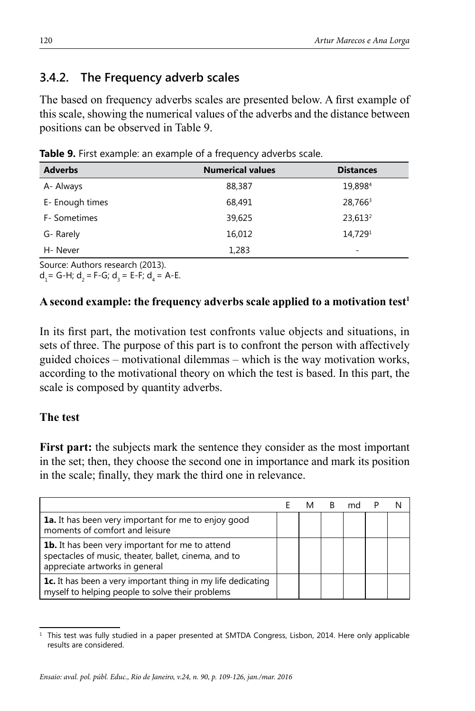### **3.4.2. The Frequency adverb scales**

The based on frequency adverbs scales are presented below. A first example of this scale, showing the numerical values of the adverbs and the distance between positions can be observed in Table 9.

| <b>Adverbs</b>  | <b>Numerical values</b> | <b>Distances</b>    |
|-----------------|-------------------------|---------------------|
| A- Always       | 88,387                  | 19,8984             |
| E- Enough times | 68,491                  | 28,766 <sup>3</sup> |
| F- Sometimes    | 39,625                  | 23,613 <sup>2</sup> |
| G-Rarely        | 16,012                  | 14,7291             |
| H-Never         | 1,283                   | ۰                   |

**Table 9.** First example: an example of a frequency adverbs scale.

Source: Authors research (2013).

 $d_1 = G-H$ ;  $d_2 = F-G$ ;  $d_3 = E-F$ ;  $d_4 = A-E$ .

#### A second example: the frequency adverbs scale applied to a motivation test<sup>1</sup>

In its first part, the motivation test confronts value objects and situations, in sets of three. The purpose of this part is to confront the person with affectively guided choices – motivational dilemmas – which is the way motivation works, according to the motivational theory on which the test is based. In this part, the scale is composed by quantity adverbs.

#### **The test**

**First part:** the subjects mark the sentence they consider as the most important in the set; then, they choose the second one in importance and mark its position in the scale; finally, they mark the third one in relevance.

| <b>1a.</b> It has been very important for me to enjoy good<br>moments of comfort and leisure                                                     |  |  |  |
|--------------------------------------------------------------------------------------------------------------------------------------------------|--|--|--|
| <b>1b.</b> It has been very important for me to attend<br>spectacles of music, theater, ballet, cinema, and to<br>appreciate artworks in general |  |  |  |
| 1c. It has been a very important thing in my life dedicating<br>myself to helping people to solve their problems                                 |  |  |  |

This test was fully studied in a paper presented at SMTDA Congress, Lisbon, 2014. Here only applicable results are considered.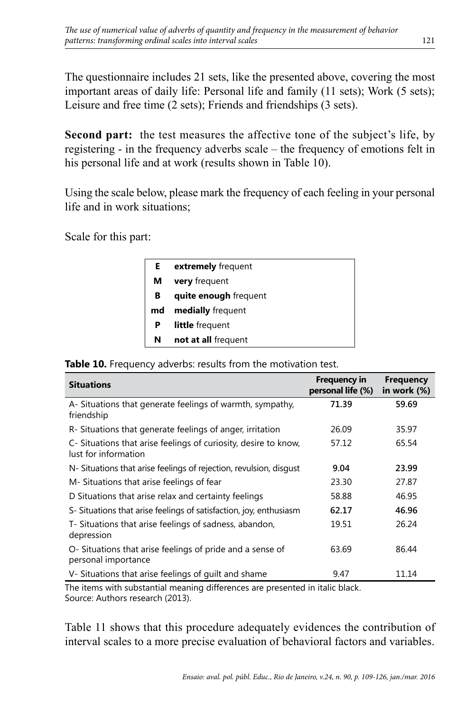The questionnaire includes 21 sets, like the presented above, covering the most important areas of daily life: Personal life and family (11 sets); Work (5 sets); Leisure and free time (2 sets); Friends and friendships (3 sets).

**Second part:** the test measures the affective tone of the subject's life, by registering - in the frequency adverbs scale – the frequency of emotions felt in his personal life and at work (results shown in Table 10).

Using the scale below, please mark the frequency of each feeling in your personal life and in work situations;

Scale for this part:

| extremely frequent     |
|------------------------|
| <b>very</b> frequent   |
| quite enough frequent  |
| medially frequent      |
| <b>little</b> frequent |
| not at all frequent    |
|                        |

**Table 10.** Frequency adverbs: results from the motivation test.

| <b>Situations</b>                                                                       | <b>Frequency in</b><br>personal life (%) | <b>Frequency</b><br>in work (%) |
|-----------------------------------------------------------------------------------------|------------------------------------------|---------------------------------|
| A- Situations that generate feelings of warmth, sympathy,<br>friendship                 | 71.39                                    | 59.69                           |
| R-Situations that generate feelings of anger, irritation                                | 26.09                                    | 35.97                           |
| C- Situations that arise feelings of curiosity, desire to know,<br>lust for information | 57.12                                    | 65.54                           |
| N- Situations that arise feelings of rejection, revulsion, disgust                      | 9.04                                     | 23.99                           |
| M- Situations that arise feelings of fear                                               | 23.30                                    | 27.87                           |
| D Situations that arise relax and certainty feelings                                    | 58.88                                    | 46.95                           |
| S- Situations that arise feelings of satisfaction, joy, enthusiasm                      | 62.17                                    | 46.96                           |
| T- Situations that arise feelings of sadness, abandon,<br>depression                    | 19.51                                    | 26.24                           |
| O-Situations that arise feelings of pride and a sense of<br>personal importance         | 63.69                                    | 86.44                           |
| V-Situations that arise feelings of guilt and shame                                     | 9.47                                     | 11.14                           |

The items with substantial meaning differences are presented in italic black. Source: Authors research (2013).

Table 11 shows that this procedure adequately evidences the contribution of interval scales to a more precise evaluation of behavioral factors and variables.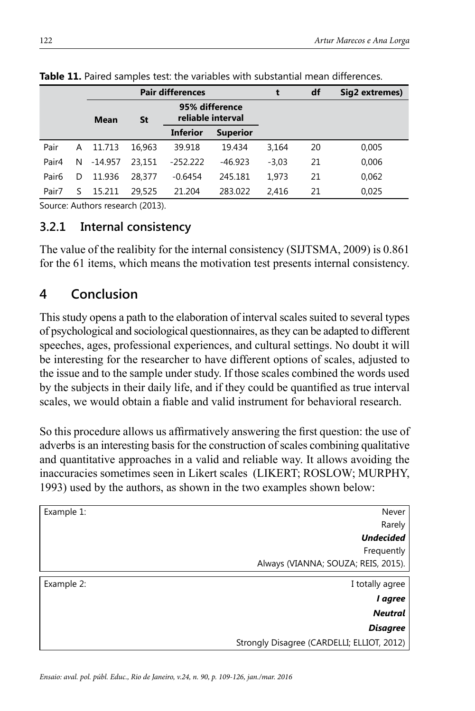|                   |   | <b>Pair differences</b> |        |                                     |                 | df      | Sig2 extremes) |       |
|-------------------|---|-------------------------|--------|-------------------------------------|-----------------|---------|----------------|-------|
|                   |   | Mean                    | St     | 95% difference<br>reliable interval |                 |         |                |       |
|                   |   |                         |        | <b>Inferior</b>                     | <b>Superior</b> |         |                |       |
| Pair              | А | 11.713                  | 16.963 | 39.918                              | 19.434          | 3,164   | 20             | 0,005 |
| Pair4             | N | $-14.957$               | 23.151 | $-252.222$                          | $-46.923$       | $-3,03$ | 21             | 0,006 |
| Pair <sub>6</sub> | D | 11.936                  | 28.377 | $-0.6454$                           | 245.181         | 1.973   | 21             | 0,062 |
| Pair7             |   | 15.211                  | 29,525 | 21.204                              | 283.022         | 2.416   | 21             | 0.025 |

**Table 11.** Paired samples test: the variables with substantial mean differences.

Source: Authors research (2013).

### **3.2.1 Internal consistency**

The value of the realibity for the internal consistency (SIJTSMA, 2009) is 0.861 for the 61 items, which means the motivation test presents internal consistency.

# **4 Conclusion**

This study opens a path to the elaboration of interval scales suited to several types of psychological and sociological questionnaires, as they can be adapted to different speeches, ages, professional experiences, and cultural settings. No doubt it will be interesting for the researcher to have different options of scales, adjusted to the issue and to the sample under study. If those scales combined the words used by the subjects in their daily life, and if they could be quantified as true interval scales, we would obtain a fiable and valid instrument for behavioral research.

So this procedure allows us affirmatively answering the first question: the use of adverbs is an interesting basis for the construction of scales combining qualitative and quantitative approaches in a valid and reliable way. It allows avoiding the inaccuracies sometimes seen in Likert scales (LIKERT; ROSLOW; MURPHY, 1993) used by the authors, as shown in the two examples shown below:

| Example 1: | Never                                      |
|------------|--------------------------------------------|
|            | Rarely                                     |
|            | <b>Undecided</b>                           |
|            | Frequently                                 |
|            | Always (VIANNA; SOUZA; REIS, 2015).        |
| Example 2: | I totally agree                            |
|            |                                            |
|            | l agree                                    |
|            | <b>Neutral</b>                             |
|            | <b>Disagree</b>                            |
|            | Strongly Disagree (CARDELLI; ELLIOT, 2012) |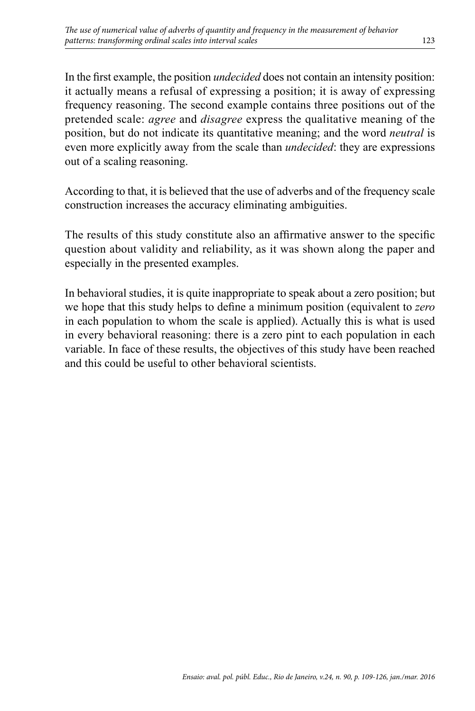In the first example, the position *undecided* does not contain an intensity position: it actually means a refusal of expressing a position; it is away of expressing frequency reasoning. The second example contains three positions out of the pretended scale: *agree* and *disagree* express the qualitative meaning of the position, but do not indicate its quantitative meaning; and the word *neutral* is even more explicitly away from the scale than *undecided*: they are expressions out of a scaling reasoning.

According to that, it is believed that the use of adverbs and of the frequency scale construction increases the accuracy eliminating ambiguities.

The results of this study constitute also an affirmative answer to the specific question about validity and reliability, as it was shown along the paper and especially in the presented examples.

In behavioral studies, it is quite inappropriate to speak about a zero position; but we hope that this study helps to define a minimum position (equivalent to *zero*  in each population to whom the scale is applied). Actually this is what is used in every behavioral reasoning: there is a zero pint to each population in each variable. In face of these results, the objectives of this study have been reached and this could be useful to other behavioral scientists.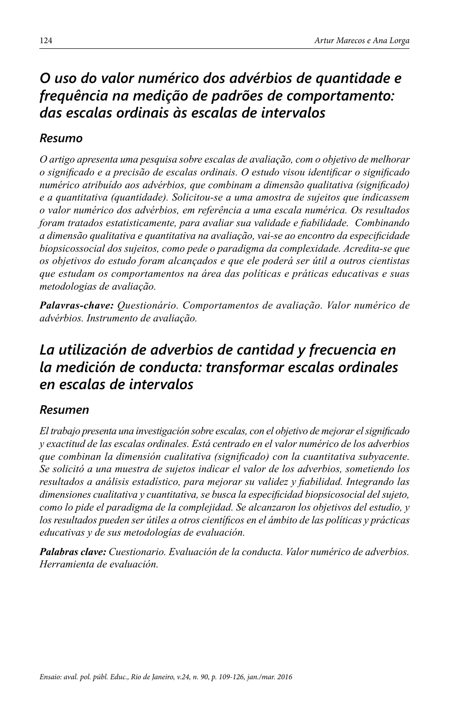# *O uso do valor numérico dos advérbios de quantidade e frequência na medição de padrões de comportamento: das escalas ordinais às escalas de intervalos*

### *Resumo*

*O artigo apresenta uma pesquisa sobre escalas de avaliação, com o objetivo de melhorar o significado e a precisão de escalas ordinais. O estudo visou identificar o significado numérico atribuído aos advérbios, que combinam a dimensão qualitativa (significado) e a quantitativa (quantidade). Solicitou-se a uma amostra de sujeitos que indicassem o valor numérico dos advérbios, em referência a uma escala numérica. Os resultados foram tratados estatisticamente, para avaliar sua validade e fiabilidade. Combinando a dimensão qualitativa e quantitativa na avaliação, vai-se ao encontro da especificidade biopsicossocial dos sujeitos, como pede o paradigma da complexidade. Acredita-se que os objetivos do estudo foram alcançados e que ele poderá ser útil a outros cientistas que estudam os comportamentos na área das políticas e práticas educativas e suas metodologias de avaliação.*

*Palavras-chave: Questionário. Comportamentos de avaliação. Valor numérico de advérbios. Instrumento de avaliação.*

# *La utilización de adverbios de cantidad y frecuencia en la medición de conducta: transformar escalas ordinales en escalas de intervalos*

### *Resumen*

*El trabajo presenta una investigación sobre escalas, con el objetivo de mejorar el significado y exactitud de las escalas ordinales. Está centrado en el valor numérico de los adverbios que combinan la dimensión cualitativa (significado) con la cuantitativa subyacente. Se solicitó a una muestra de sujetos indicar el valor de los adverbios, sometiendo los resultados a análisis estadístico, para mejorar su validez y fiabilidad. Integrando las dimensiones cualitativa y cuantitativa, se busca la especificidad biopsicosocial del sujeto, como lo pide el paradigma de la complejidad. Se alcanzaron los objetivos del estudio, y los resultados pueden ser útiles a otros científicos en el ámbito de las políticas y prácticas educativas y de sus metodologías de evaluación.*

*Palabras clave: Cuestionario. Evaluación de la conducta. Valor numérico de adverbios. Herramienta de evaluación.*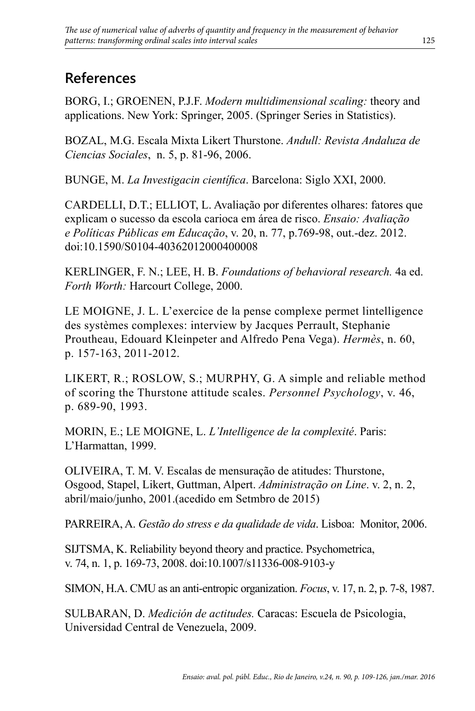# **References**

BORG, I.; GROENEN, P.J.F. *Modern multidimensional scaling:* theory and applications. New York: Springer, 2005. (Springer Series in Statistics).

BOZAL, M.G. Escala Mixta Likert Thurstone. *Andull: Revista Andaluza de Ciencias Sociales*, n. 5, p. 81-96, 2006.

BUNGE, M. *La Investigacin científica*. Barcelona: Siglo XXI, 2000.

CARDELLI, D.T.; ELLIOT, L. Avaliação por diferentes olhares: fatores que explicam o sucesso da escola carioca em área de risco. *Ensaio: Avaliação e Políticas Públicas em Educação*, v. 20, n. 77, p.769-98, out.-dez. 2012. doi:10.1590/S0104-40362012000400008

KERLINGER, F. N.; LEE, H. B. *Foundations of behavioral research.* 4a ed. *Forth Worth:* Harcourt College, 2000.

LE MOIGNE, J. L. L'exercice de la pense complexe permet lintelligence des systèmes complexes: interview by Jacques Perrault, Stephanie Proutheau, Edouard Kleinpeter and Alfredo Pena Vega). *Hermès*, n. 60, p. 157-163, 2011-2012.

LIKERT, R.; ROSLOW, S.; MURPHY, G. A simple and reliable method of scoring the Thurstone attitude scales. *Personnel Psychology*, v. 46, p. 689-90, 1993.

MORIN, E.; LE MOIGNE, L. *L'Intelligence de la complexité*. Paris: L'Harmattan, 1999.

OLIVEIRA, T. M. V. Escalas de mensuração de atitudes: Thurstone, Osgood, Stapel, Likert, Guttman, Alpert. *Administração on Line*. v. 2, n. 2, abril/maio/junho, 2001.(acedido em Setmbro de 2015)

PARREIRA, A. *Gestão do stress e da qualidade de vida*. Lisboa: Monitor, 2006.

SIJTSMA, K. Reliability beyond theory and practice. Psychometrica, v. 74, n. 1, p. 169-73, 2008. doi:10.1007/s11336-008-9103-y

SIMON, H.A. CMU as an anti-entropic organization. *Focus*, v. 17, n. 2, p. 7-8, 1987.

SULBARAN, D. *Medición de actitudes.* Caracas: Escuela de Psicologia, Universidad Central de Venezuela, 2009.